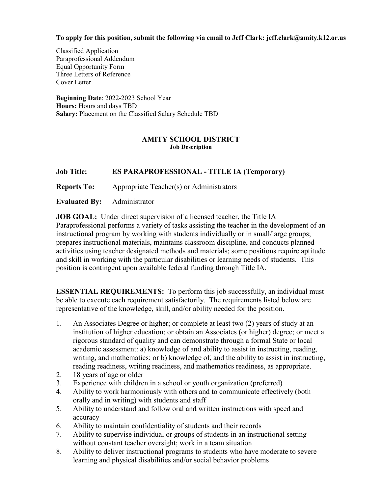# **To apply for this position, submit the following via email to Jeff Clark: jeff.clark@amity.k12.or.us**

Classified Application Paraprofessional Addendum Equal Opportunity Form Three Letters of Reference Cover Letter

**Beginning Date**: 2022-2023 School Year **Hours:** Hours and days TBD **Salary:** Placement on the Classified Salary Schedule TBD

## **AMITY SCHOOL DISTRICT Job Description**

# **Job Title: ES PARAPROFESSIONAL - TITLE IA (Temporary)**

**Reports To:** Appropriate Teacher(s) or Administrators

**Evaluated By:** Administrator

**JOB GOAL:** Under direct supervision of a licensed teacher, the Title IA Paraprofessional performs a variety of tasks assisting the teacher in the development of an instructional program by working with students individually or in small/large groups; prepares instructional materials, maintains classroom discipline, and conducts planned activities using teacher designated methods and materials; some positions require aptitude and skill in working with the particular disabilities or learning needs of students. This position is contingent upon available federal funding through Title IA.

**ESSENTIAL REQUIREMENTS:** To perform this job successfully, an individual must be able to execute each requirement satisfactorily. The requirements listed below are representative of the knowledge, skill, and/or ability needed for the position.

- 1. An Associates Degree or higher; or complete at least two (2) years of study at an institution of higher education; or obtain an Associates (or higher) degree; or meet a rigorous standard of quality and can demonstrate through a formal State or local academic assessment: a) knowledge of and ability to assist in instructing, reading, writing, and mathematics; or b) knowledge of, and the ability to assist in instructing, reading readiness, writing readiness, and mathematics readiness, as appropriate.
- 2. 18 years of age or older
- 3. Experience with children in a school or youth organization (preferred)
- 4. Ability to work harmoniously with others and to communicate effectively (both orally and in writing) with students and staff
- 5. Ability to understand and follow oral and written instructions with speed and accuracy
- 6. Ability to maintain confidentiality of students and their records
- 7. Ability to supervise individual or groups of students in an instructional setting without constant teacher oversight; work in a team situation
- 8. Ability to deliver instructional programs to students who have moderate to severe learning and physical disabilities and/or social behavior problems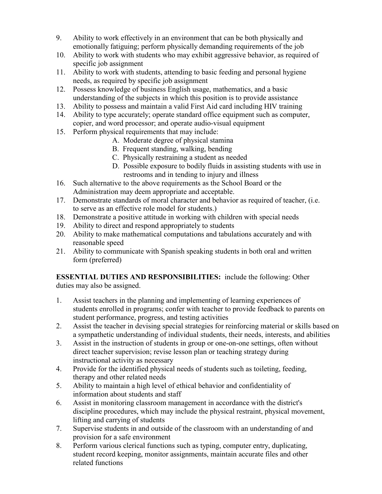- 9. Ability to work effectively in an environment that can be both physically and emotionally fatiguing; perform physically demanding requirements of the job
- 10. Ability to work with students who may exhibit aggressive behavior, as required of specific job assignment
- 11. Ability to work with students, attending to basic feeding and personal hygiene needs, as required by specific job assignment
- 12. Possess knowledge of business English usage, mathematics, and a basic understanding of the subjects in which this position is to provide assistance
- 13. Ability to possess and maintain a valid First Aid card including HIV training
- 14. Ability to type accurately; operate standard office equipment such as computer, copier, and word processor; and operate audio-visual equipment
- 15. Perform physical requirements that may include:
	- A. Moderate degree of physical stamina
	- B. Frequent standing, walking, bending
	- C. Physically restraining a student as needed
	- D. Possible exposure to bodily fluids in assisting students with use in restrooms and in tending to injury and illness
- 16. Such alternative to the above requirements as the School Board or the Administration may deem appropriate and acceptable.
- 17. Demonstrate standards of moral character and behavior as required of teacher, (i.e. to serve as an effective role model for students.)
- 18. Demonstrate a positive attitude in working with children with special needs
- 19. Ability to direct and respond appropriately to students
- 20. Ability to make mathematical computations and tabulations accurately and with reasonable speed
- 21. Ability to communicate with Spanish speaking students in both oral and written form (preferred)

**ESSENTIAL DUTIES AND RESPONSIBILITIES:** include the following: Other duties may also be assigned.

- 1. Assist teachers in the planning and implementing of learning experiences of students enrolled in programs; confer with teacher to provide feedback to parents on student performance, progress, and testing activities
- 2. Assist the teacher in devising special strategies for reinforcing material or skills based on a sympathetic understanding of individual students, their needs, interests, and abilities
- 3. Assist in the instruction of students in group or one-on-one settings, often without direct teacher supervision; revise lesson plan or teaching strategy during instructional activity as necessary
- 4. Provide for the identified physical needs of students such as toileting, feeding, therapy and other related needs
- 5. Ability to maintain a high level of ethical behavior and confidentiality of information about students and staff
- 6. Assist in monitoring classroom management in accordance with the district's discipline procedures, which may include the physical restraint, physical movement, lifting and carrying of students
- 7. Supervise students in and outside of the classroom with an understanding of and provision for a safe environment
- 8. Perform various clerical functions such as typing, computer entry, duplicating, student record keeping, monitor assignments, maintain accurate files and other related functions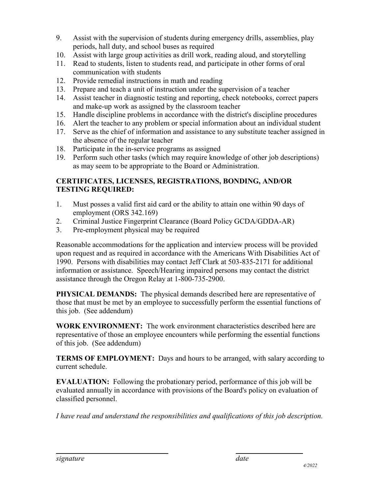- 9. Assist with the supervision of students during emergency drills, assemblies, play periods, hall duty, and school buses as required
- 10. Assist with large group activities as drill work, reading aloud, and storytelling
- 11. Read to students, listen to students read, and participate in other forms of oral communication with students
- 12. Provide remedial instructions in math and reading
- 13. Prepare and teach a unit of instruction under the supervision of a teacher
- 14. Assist teacher in diagnostic testing and reporting, check notebooks, correct papers and make-up work as assigned by the classroom teacher
- 15. Handle discipline problems in accordance with the district's discipline procedures
- 16. Alert the teacher to any problem or special information about an individual student
- 17. Serve as the chief of information and assistance to any substitute teacher assigned in the absence of the regular teacher
- 18. Participate in the in-service programs as assigned
- 19. Perform such other tasks (which may require knowledge of other job descriptions) as may seem to be appropriate to the Board or Administration.

# **CERTIFICATES, LICENSES, REGISTRATIONS, BONDING, AND/OR TESTING REQUIRED:**

- 1. Must posses a valid first aid card or the ability to attain one within 90 days of employment (ORS 342.169)
- 2. Criminal Justice Fingerprint Clearance (Board Policy GCDA/GDDA-AR)
- 3. Pre-employment physical may be required

Reasonable accommodations for the application and interview process will be provided upon request and as required in accordance with the Americans With Disabilities Act of 1990. Persons with disabilities may contact Jeff Clark at 503-835-2171 for additional information or assistance. Speech/Hearing impaired persons may contact the district assistance through the Oregon Relay at 1-800-735-2900.

**PHYSICAL DEMANDS:** The physical demands described here are representative of those that must be met by an employee to successfully perform the essential functions of this job. (See addendum)

**WORK ENVIRONMENT:** The work environment characteristics described here are representative of those an employee encounters while performing the essential functions of this job. (See addendum)

**TERMS OF EMPLOYMENT:** Days and hours to be arranged, with salary according to current schedule.

**EVALUATION:** Following the probationary period, performance of this job will be evaluated annually in accordance with provisions of the Board's policy on evaluation of classified personnel.

*I have read and understand the responsibilities and qualifications of this job description.*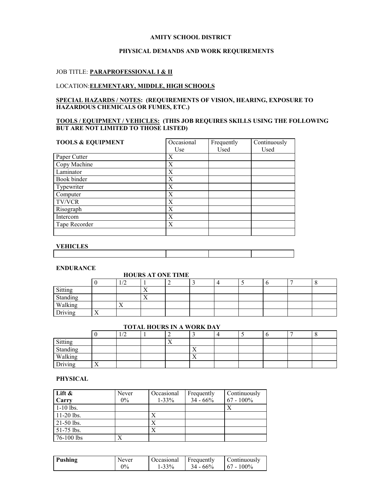#### **AMITY SCHOOL DISTRICT**

## **PHYSICAL DEMANDS AND WORK REQUIREMENTS**

## JOB TITLE: **PARAPROFESSIONAL I & II**

## LOCATION:**ELEMENTARY, MIDDLE, HIGH SCHOOLS**

#### **SPECIAL HAZARDS / NOTES: (REQUIREMENTS OF VISION, HEARING, EXPOSURE TO HAZARDOUS CHEMICALS OR FUMES, ETC.)**

## **TOOLS / EQUIPMENT / VEHICLES: (THIS JOB REQUIRES SKILLS USING THE FOLLOWING BUT ARE NOT LIMITED TO THOSE LISTED)**

| <b>TOOLS &amp; EQUIPMENT</b> | Occasional | Frequently | Continuously |
|------------------------------|------------|------------|--------------|
|                              | Use        | Used       | Used         |
| Paper Cutter                 | X          |            |              |
| Copy Machine                 | X          |            |              |
| Laminator                    | X          |            |              |
| Book binder                  | X          |            |              |
| Typewriter                   | X          |            |              |
| Computer                     | X          |            |              |
| <b>TV/VCR</b>                | X          |            |              |
| Risograph                    | X          |            |              |
| Intercom                     | X          |            |              |
| Tape Recorder                | X          |            |              |
|                              |            |            |              |

## **VEHICLES**

| ----------- |  |  |
|-------------|--|--|
|             |  |  |
|             |  |  |
|             |  |  |
|             |  |  |

#### **ENDURANCE**

#### **HOURS AT ONE TIME**

|          |                | $\sqrt{2}$<br>1/L |                | - |  |  |  |
|----------|----------------|-------------------|----------------|---|--|--|--|
| Sitting  |                |                   | $\overline{ }$ |   |  |  |  |
| Standing |                |                   | $\lambda$      |   |  |  |  |
| Walking  |                | $\lambda$         |                |   |  |  |  |
| Driving  | $\overline{1}$ |                   |                |   |  |  |  |

## **TOTAL HOURS IN A WORK DAY**

|                                |                | $\sqrt{2}$<br>$1/\sqrt{2}$ | ∼                 |           |  |  |  |
|--------------------------------|----------------|----------------------------|-------------------|-----------|--|--|--|
| Sitting<br>Standing<br>Walking |                |                            | $\mathbf{r}$<br>∡ |           |  |  |  |
|                                |                |                            |                   | $\lambda$ |  |  |  |
|                                |                |                            |                   | $\lambda$ |  |  |  |
| Driving                        | $\overline{1}$ |                            |                   |           |  |  |  |

## **PHYSICAL**

| Lift &       | Never | Occasional | Frequently | Continuously |
|--------------|-------|------------|------------|--------------|
| Carry        | $0\%$ | $1 - 33\%$ | $34 - 66%$ | $67 - 100\%$ |
| $1-10$ lbs.  |       |            |            |              |
| $11-20$ lbs. |       |            |            |              |
| $21-50$ lbs. |       |            |            |              |
| $51-75$ lbs. |       |            |            |              |
| 76-100 lbs   |       |            |            |              |

| Pushing | Never | Occasional | <b>■ Frequently</b> | Continuously  |
|---------|-------|------------|---------------------|---------------|
|         | $0\%$ | $1 - 33%$  | $34 - 66\%$         | $167 - 100\%$ |